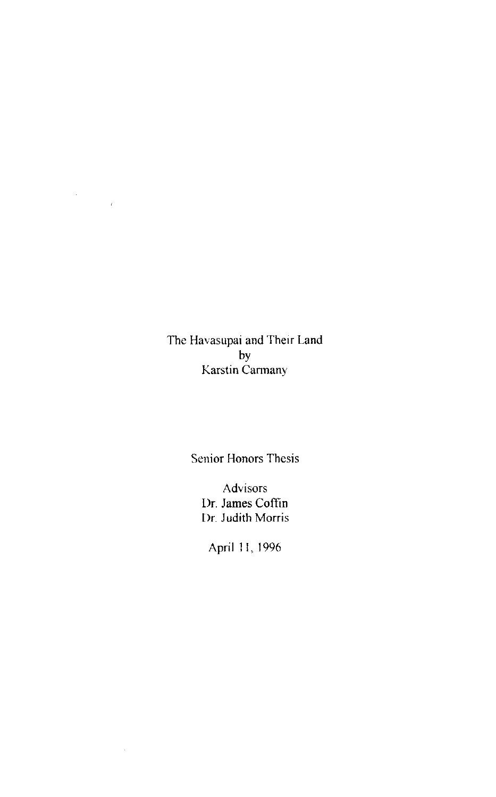The Havasupai and Their Land by Karstin Cannany

 $\label{eq:2.1} \frac{1}{\sqrt{2}}\int_{0}^{\infty}\frac{1}{\sqrt{2\pi}}\left(\frac{1}{\sqrt{2\pi}}\right)^{2\alpha}d\mu.$ 

Senior Honors Thesis

Advisors **Dr.** James Coffin Dr. Judith Morris

April 11, 1996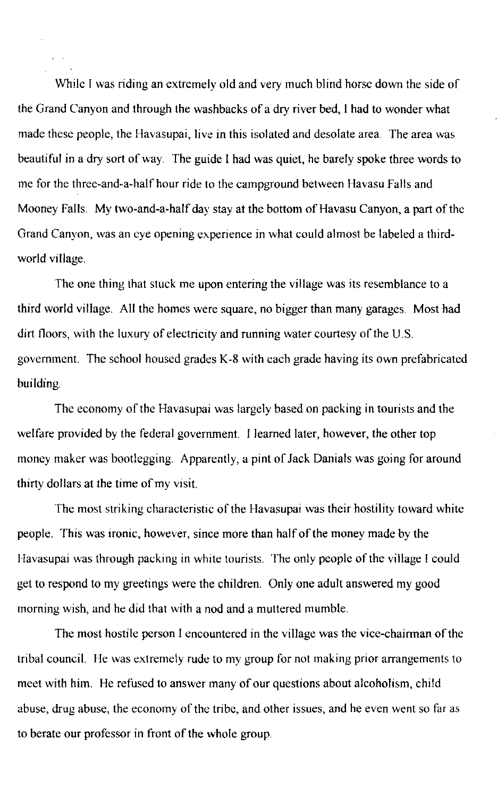While I was riding an extremely old and very much blind horse down the side of the Grand Canyon and through the washbacks of a dry river bed, I had to wonder what made these people, the Havasupai, live in this isolated and desolate area. The area was beautiful in a dry sort of way. The guide I had was quiet, he barely spoke three words to me for the three-and-a-half hour ride to the campground between Havasu Falls and Mooney Falls. My two-and-a-half day stay at the bottom of Havasu Canyon, a part of the Grand Canyon, was an eye opening experience in what could almost be labeled a thirdworld village.

The one thing that stuck me upon entering the village was its resemblance to a third world village. All the homes were square, no bigger than many garages. Most had dirt floors, with the luxury of electricity and running water courtesy of the U.S. government. The school housed grades K-8 with each grade having its own prefabricated building.

The economy of the Havasupai was largely based on packing in tourists and the welfare provided by the federal government. I learned later, however, the other top money maker was bootlegging. Apparently, a pint of Jack Danials was going for around thirty dollars at the time of my visit.

The most striking characteristic of the Havasupai was their hostility toward white people. This was ironic, however, since more than half of the money made by the Havasupai was through packing in white tourists. The only people of the village I could get to respond to my greetings were the children. Only one adult answered my good morning wish, and he did that with a nod and a muttered mumble.

The most hostile person I encountered in the village was the vice-chairman of the tribal council. He was extremely rude to my group for not making prior arrangements to meet with him. He refused to answer many of our questions about alcoholism, child abuse, drug abuse, the economy of the tribe, and other issues, and he even went so far as to berate our professor in front of the whole group.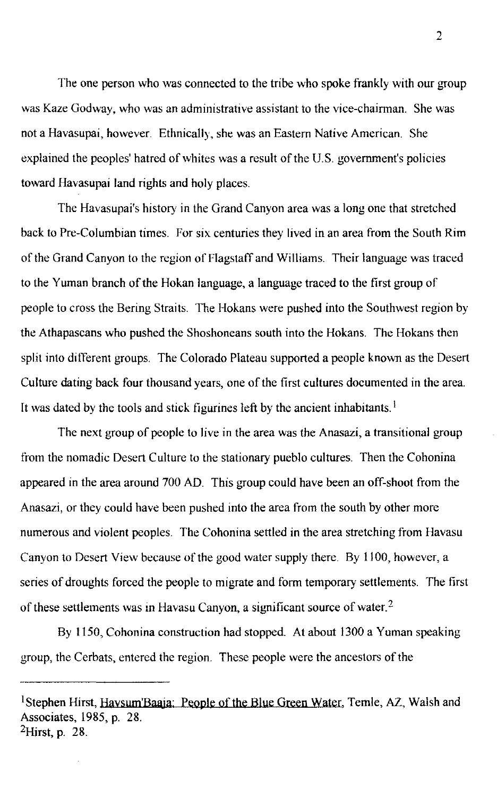The one person who was connected to the tribe who spoke frankly with our group was Kaze Godway, who was an administrative assistant to the vice-chairman. She was not a Havasupai, however. Ethnically, she was an Eastern Native American. She explained the peoples' hatred of whites was a result of the U.S. government's policies toward Havasupai land rights and holy places.

The Havasupai's history in the Grand Canyon area was a long one that stretched back to Pre-Columbian times. For six centuries they lived in an area from the South Rim of the Grand Canyon to the region of Flagstaff and Williams. Their language was traced to the Yuman branch of the Hokan language, a language traced to the first group of people to cross the Bering Straits. The Hokans were pushed into the Southwest region by the Athapascans who pushed the Shoshoneans south into the Hokans. The Hokans then split into different groups. The Colorado Plateau supported a people known as the Desert Culture dating back four thousand years, one of the first cultures documented in the area. It was dated by the tools and stick figurines left by the ancient inhabitants.<sup>1</sup>

The next group of people to live in the area was the Anasazi, a transitional group from the nomadic Desert Culture to the stationary pueblo cultures. Then the Cohonina appeared in the area around 700 AD. This group could have been an off-shoot from the Anasazi, or they could have been pushed into the area from the south by other more numerous and violent peoples. The Cohonina settled in the area stretching from Havasu Canyon to Desert View because of the good water supply there. By 1100, however, a series of droughts forced the people to migrate and form temporary settlements. The first of these settlements was in Havasu Canyon, a significant source of water.<sup>2</sup>

By 1150, Cohonina construction had stopped. At about 1300 a Yuman speaking group, the Cerbats, entered the region. These people were the ancestors of the

<sup>&</sup>lt;sup>1</sup>Stephen Hirst, Haysum'Baaia: People of the Blue Green Water, Temle, AZ, Walsh and Associates, 1985, p. 28.  $^2$ Hirst, p. 28.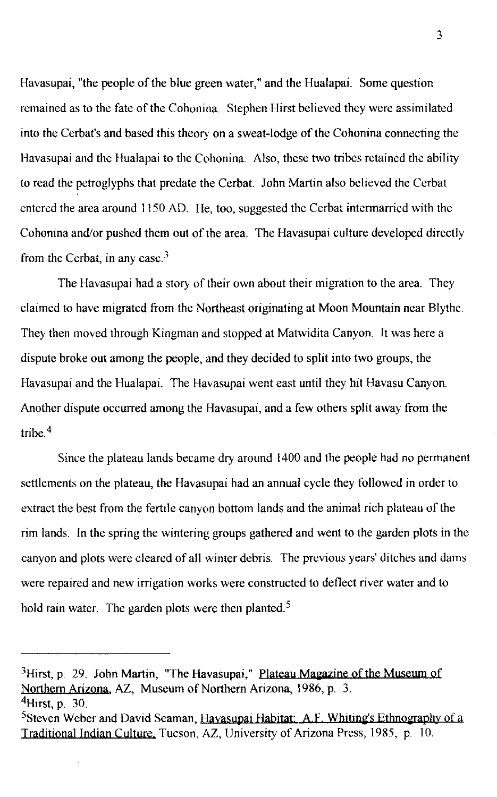Havasupai, "the people of the blue green water," and the Hualapai. Some question remained as to the fate of the Cohonina. Stephen Hirst believed they were assimilated into the Cerbat's and based this theory on a sweat-lodge of the Cohonina connecting the Havasupai and the Hualapai to the Cohonina. Also, these two tribes retained the ability to read the petroglyphs that predate the Cerbat. John Martin also believed the Cerbat entered the area around 1150 AD. He, too, suggested the Cerbat intermarried with the Cohonina and/or pushed them out of the area. The Havasupai culture developed directly from the Cerbat, in any case.<sup>3</sup>

The Havasupai had a story of their own about their migration to the area. They claimed to have migrated from the Northeast originating at Moon Mountain near Blythe. They then moved through Kingman and stopped at Matwidita Canyon. It was here a dispute broke out among the people, and they decided to split into two groups, the Havasupai and the Hualapai. The Havasupai went east until they hit Havasu Canyon. Another dispute occurred among the Havasupai, and a few others split away from the tribe  $4$ 

Since the plateau lands became dry around 1400 and the people had no permanent settlements on the plateau, the Havasupai had an annual cycle they followed in order to extract the best from the fertile canyon bottom lands and the animal rich plateau of the rim lands. In the spring the wintering groups gathered and went to the garden plots in the canyon and plots were cleared of all winter debris. The previous years' ditches and dams were repaired and new irrigation works were constructed to deflect river water and to hold rain water. The garden plots were then planted.<sup>5</sup>

 $3$ Hirst, p. 29. John Martin, "The Havasupai," Plateau Magazine of the Museum of Northern Arizona, AZ, Museum of Northern Arizona, 1986, p. 3.  $4$ Hirst, p. 30.

 $5$ Steven Weber and David Seaman, Hayasupai Habitat: A.F. Whiting's Ethnography of a Traditional Indian Culture, Tucson, AZ, University of Arizona Press, 1985, p. 10.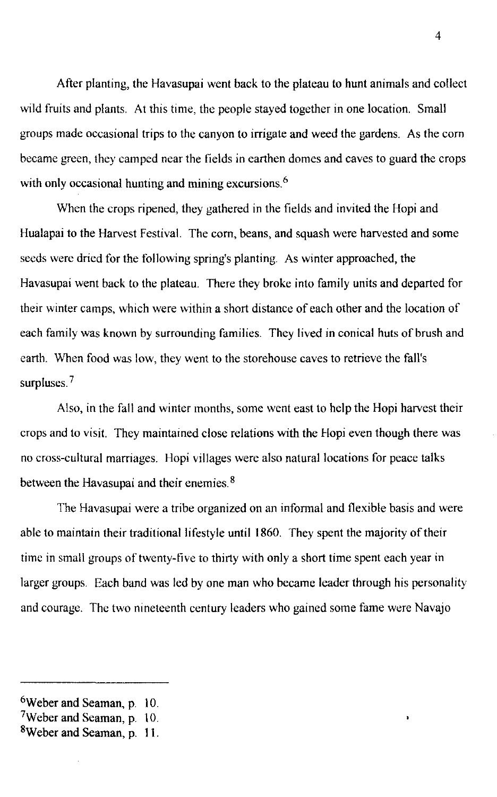After planting, the Havasupai went back to the plateau to hunt animals and collect wild fruits and plants. At this time, the people stayed together in one location. Small groups made occasional trips to the canyon to irrigate and weed the gardens. As the com became green, they camped near the fields in earthen domes and caves to guard the crops with only occasional hunting and mining excursions. $6$ 

When the crops ripened, they gathered in the fields and invited the Hopi and Hualapai to the Harvest Festival. The com, beans, and squash were harvested and some seeds were dried for the following spring's planting. As winter approached, the Havasupai went back to the plateau. There they broke into family units and departed for their winter camps, which were within a short distance of each other and the location of each family was known by surrounding families. They lived in conical huts of brush and earth. When food was low, they went to the storehouse caves to retrieve the fall's surpluses.<sup>7</sup>

Also, in the fall and winter months, some went east to help the Hopi harvest their crops and to visit. They maintained close relations with the Hopi even though there was no cross-cultural marriages. Hopi villages were also natural locations for peace talks between the Havasupai and their enemies.<sup>8</sup>

The Havasupai were a tribe organized on an infonnal and flexible basis and were able to maintain their traditional lifestyle until 1860. They spent the majority of their time in small groups of twenty-five to thirty with only a short time spent each year in larger groups. Each band was led by one man who became leader through his personality and courage. The two nineteenth century leaders who gained some fame were Navajo

<sup>6</sup>Weber and Seaman., p. 10.

<sup>7</sup>Weber and Seaman, p. 10.

<sup>8</sup>Weber and Seaman, p. **11.**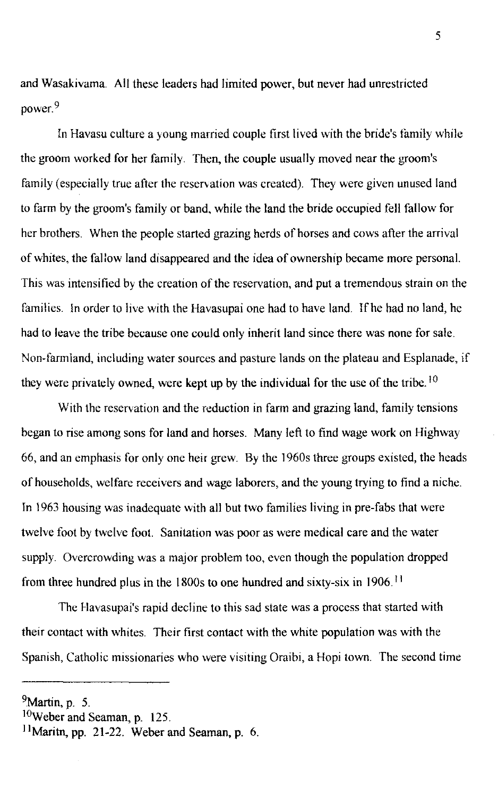and Wasakivama. All these leaders had limited power, but never had unrestricted power.<sup>9</sup>

In Havasu culture a young married couple first lived with the bride's family while the groom worked for her family. Then, the couple usually moved near the groom's family (especially true after the reservation was created). They were given unused land to farm by the groom's family or band, while the land the bride occupied fell fallow for her brothers. When the people started grazing herds of horses and cows after the arrival of whites, the fallow land disappeared and the idea of ownership became more personal. This was intensified by the creation of the reservation, and put a tremendous strain on the families. In order to live with the Havasupai one had to have land. If he had no land, he had to leave the tribe because one could only inherit land since there was none for sale. Non-farmland, including water sources and pasture lands on the plateau and Esplanade, if they were privately owned, were kept up by the individual for the use of the tribe.<sup>10</sup>

With the reservation and the reduction in farm and grazing land, family tensions began to rise among sons for land and horses. Many left to find wage work on Highway 66, and an emphasis for only one heir grew. By the 1960s three groups existed, the heads of households, welfare receivers and wage laborers, and the young trying to find a niche. In 1963 housing was inadequate with all but two families living in pre-fabs that were twelve foot by twelve foot. Sanitation was poor as were medical care and the water supply. Overcrowding was a major problem too, even though the population dropped from three hundred plus in the 1800s to one hundred and sixty-six in 1906. <sup>11</sup>

The Havasupai's rapid decline to this sad state was a process that started with their contact with whites. Their first contact with the white population was with the Spanish, Catholic missionaries who were visiting Oraibi, a Hopi town. The second time

 $9$ Martin, p. 5.

IOWeber and Seaman, p. 125.

<sup>&</sup>lt;sup>11</sup>Maritn, pp. 21-22. Weber and Seaman, p. 6.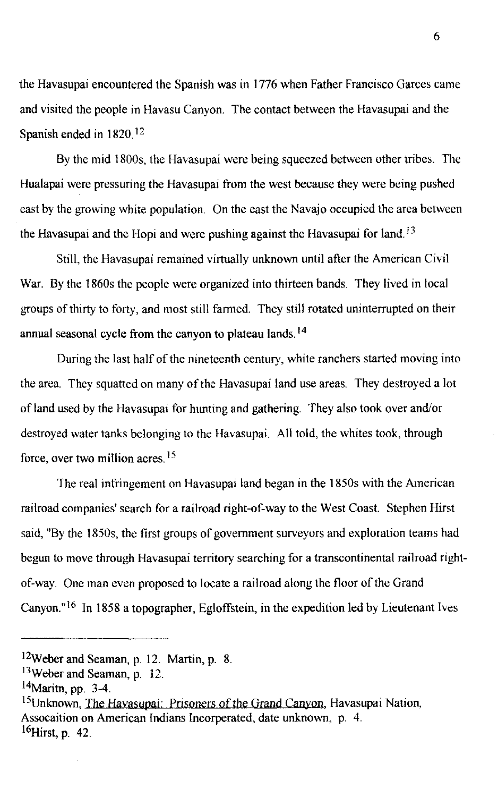the Havasupai encountered the Spanish was in 1776 when Father Francisco Garces came and visited the people in Havasu Canyon. The contact between the Havasupai and the Spanish ended in  $1820$ <sup>12</sup>

By the mid 1800s, the Havasupai were being squeezed between other tribes. The Hualapai were pressuring the Havasupai from the west because they were being pushed cast by the growing white population. On the east the Navajo occupied the area between the Havasupai and the Hopi and were pushing against the Havasupai for land.<sup>13</sup>

Still, the Havasupai remained virtually unknown until after the American Civil War. By the 1860s the people were organized into thirteen bands. They lived in local groups of thirty to forty, and most still farmed. They still rotated uninterrupted on their annual seasonal cycle from the canyon to plateau lands. 14

During the last half of the nineteenth century, white ranchers started moving into the area. They squatted on many of the Havasupai land use areas. They destroyed a lot of land used by the Havasupai for hunting and gathering. They also took over and/or destroyed water tanks belonging to the Havasupai. All told, the whites took, through force, over two million acres. 15

The real infringement on Havasupai land began in the 1850s with the American railroad companies' search for a railroad right-of-way to the West Coast. Stephen Hirst said, "By the 1850s, the first groups of government surveyors and exploration teams had begun to move through Havasupai territory searching for a transcontinental railroad rightof-way. One man even proposed to locate a railroad along the floor of the Grand Canyon."<sup>16</sup> In 1858 a topographer, Egloffstein, in the expedition led by Lieutenant Ives

I2Weber and Seaman, p. 12. Martin, p. 8.

I3Weber and Seaman, p. 12.

<sup>14</sup>Maritn, pp. 3-4.

<sup>&</sup>lt;sup>15</sup>Unknown, The Havasupai: Prisoners of the Grand Canyon, Havasupai Nation, Assocaition on American Indians Incorperated, date unknown, p. 4.  $^{16}$ Hirst, p. 42.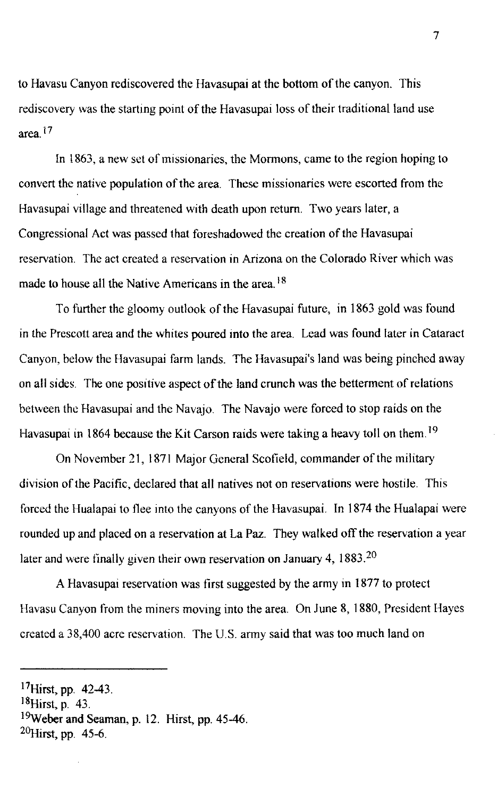to Havasu Canyon rediscovered the Havasupai at the bottom of the canyon. This rediscovery was the starting point of the Havasupai loss of their traditional land use area. $17$ 

In 1863, a new set of missionaries, the Mormons, came to the region hoping to convert the native population of the area. These missionaries were escorted from the Havasupai village and threatened with death upon return. Two years later, a Congressional Act was passcd that foreshadowed the creation of the Havasupai reservation. The act created a reservation in Arizona on the Colorado River which was made to house all the Native Americans in the area.<sup>18</sup>

To further the gloomy outlook of the Havasupai future, in 1863 gold was found in the Prescott area and the whites poured into the area. Lead was found later in Cataract Canyon, below the Havasupai farm lands. The Havasupai's land was being pinched away on all sides. The one positive aspect of the land crunch was the betterment of relations between the Havasupai and the Navajo. The Navajo were forced to stop raids on the Havasupai in 1864 because the Kit Carson raids were taking a heavy toll on them.<sup>19</sup>

On November 21, 1871 Major General Scofield, commander of the military division of the Pacific, declared that all natives not on reservations were hostile. This forced the Hualapai to flee into the canyons of the Havasupai. In 1874 the Hualapai were rounded up and placed on a reservation at La Paz. They walked off the reservation a year later and were tinally given their own reservation on January 4, 1883.<sup>20</sup>

A Havasupai reservation was first suggested by the army in 1877 to protect Havasu Canyon from the miners moving into the area. On June 8, 1880, President Hayes created a 38,400 acre reservation. The U.S. army said that was too much land on

<sup>17</sup>Hirst, pp. 42-43.

 $^{18}$ Hirst, p. 43.

<sup>19</sup>weber and Seaman, p. 12. Hirst, pp. 45-46.

 $^{20}$ Hirst, pp. 45-6.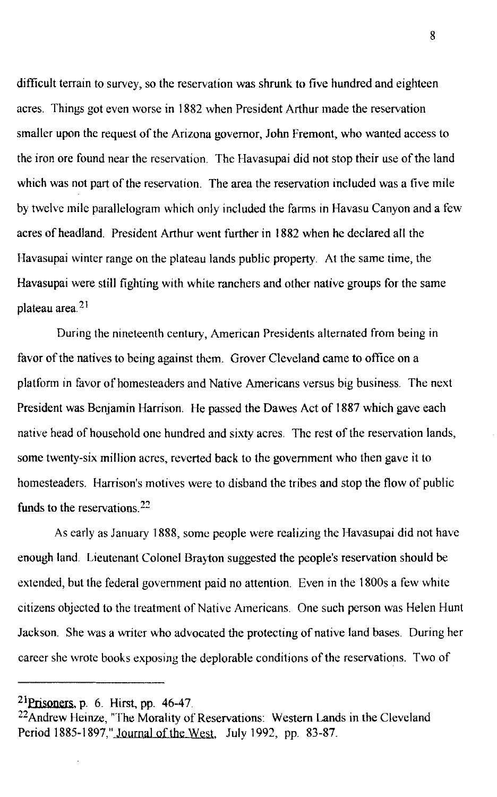difficult terrain to survey, so the reservation was shrunk to five hundred and eighteen acres. Things got even worse in 1882 when President Arthur made the reservation smaller upon the request of the Arizona governor, John Fremont, who wanted access to the iron ore found near the reservation. The Havasupai did not stop their use of the land which was not part of the reservation. The area the reservation included was a five mile by twelve mile parallelogram which only included the farms in Havasu Canyon and a few acres of headland. President Arthur went further in 1882 when he declared all the Havasupai winter range on the plateau lands public property. At the same time, the Havasupai were still fighting with white ranchers and other native groups for the same plateau area $2<sup>1</sup>$ 

During the nineteenth century, American Presidents alternated from being in favor of the natives to being against them. Grover Cleveland came to office on a platform in favor of homesteaders and Native Americans versus big business. The next President was Benjamin Harrison. He passed the Dawes Act of 1887 which gave each native head of household one hundred and sixty acres. The rest of the reservation lands, some twenty-six million acres, reverted back to the government who then gave it to homesteaders. Harrison's motives were to disband the tribes and stop the flow of public funds to the reservations.  $22$ 

As early as January 1888, somc people were realizing the Havasupai did not have enough land. Lieutenant Colonel Brayton suggested the people's reservation should be extended, but the federal government paid no attention. Even in the 1800s a few white citizens objected to the treatment of Native Americans. One such person was Helen Hunt Jackson. She was a writer who advocated the protecting of native land bases. During her career she wrote books exposing the deplorable conditions of the reservations. Two of

 $21$ Prisoners, p. 6. Hirst, pp. 46-47.

<sup>22</sup>Andrew Heinze, "The Morality of Reservations: Western Lands in the Cleveland Period 1885-1897," Journal of the West, July 1992, pp. 83-87.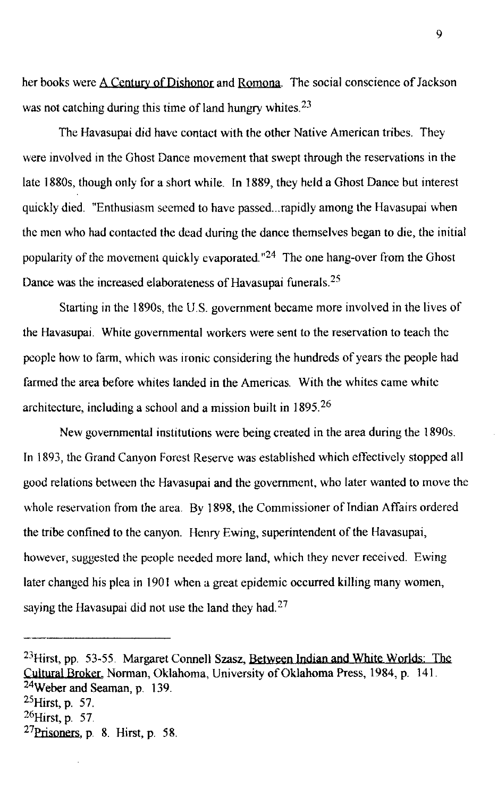her books were A Century of Dishonor and Romona. The social conscience of Jackson was not catching during this time of land hungry whites. $23$ 

The Havasupai did have contact with the other Native American tribes. They were involved in the Ghost Dance movement that swept through the reservations in the late 1880s, though only for a short while. In 1889, they held a Ghost Dance but interest quickly died. "Enthusiasm seemed to have passed... rapidly among the Havasupai when the men who had contacted the dead during the dance themselves began to die, the initial popularity of the movement quickly evaporated.  $n^2$ <sup>4</sup> The one hang-over from the Ghost Dance was the increased elaborateness of Havasupai funerals.<sup>25</sup>

Starting in the 1890s, the U.S. government became more involved in the lives of the Havasupai. White governmental workers were sent to the reservation to teach the people how to farm, which was ironic considering the hundreds of years the people had farmed the area before whites landed in the Americas. With the whites came white architecture, including a school and a mission built in  $1895<sup>26</sup>$ 

New governmental institutions were being created in the area during the 1890s. In 1893, the Grand Canyon Forest Reserve was established which effectively stopped all good relations between the Havasupai and the government, who later wanted to move the whole reservation from the area. By 1898, the Commissioner of Indian Affairs ordered the tribe confined to the canyon. Henry Ewing, superintendent of the Havasupai, however, suggested the people needed more land, which they never received. Ewing later changed his plea in 1901 when a great epidemic occurred killing many women, saying the Havasupai did not use the land they had.<sup>27</sup>

<sup>&</sup>lt;sup>23</sup>Hirst, pp. 53-55. Margaret Connell Szasz, Between Indian and White Worlds: The Cultural Broker, Norman, Oklahoma, University of Oklahoma Press, 1984, p. 141. 24Weber and Seaman, p. 139.  $^{25}$ Hirst, p. 57.  $^{26}$ Hirst, p. 57.

 $27$ Prisoners, p. 8. Hirst, p. 58.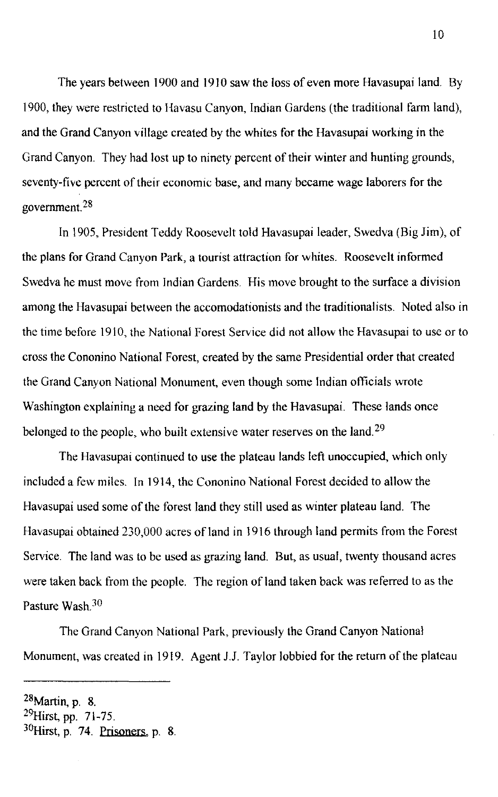The years between 1900 and 1910 saw the loss of even more Havasupai land. By 1900, they were restricted to Havasu Canyon, Indian Gardens (the traditional farm land), and the Grand Canyon village created by the whites for the Havasupai working in the Grand Canyon. They had lost up to ninety percent of their winter and hunting grounds, seventy-five percent of their economic base, and many became wage laborers for the government. 28

In 1905, President Teddy Roosevelt told Havasupai leader, Swedva (Big Jim), of the plans for Grand Canyon Park, a tourist attraction for whites. Roosevelt informed Swedva he must move from Indian Gardens. His move brought to the surface a division among the Havasupai between the accomodationists and the traditionalists. Noted also in the time before 1910, the National Forest Service did not allow the Havasupai to use or to cross the Cononino National Forest, created by the same Presidential order that created the Grand Canyon National Monument, even though some Indian officials wrote Washington explaining a need for grazing land by the Havasupai. These lands once belonged to the people, who built extensive water reserves on the land.<sup>29</sup>

The Havasupai continued to use the plateau lands left unoccupied, which only included a few miles. In 1914, the Cononino National Forest decided to allow the Havasupai used some of the forest land they still used as winter plateau land. The Havasupai obtained 230,000 acres of land in 1916 through land permits from the Forest Service. The land was to be used as grazing land. But, as usual, twenty thousand acres were taken back from the people. The region of land taken back was referred to as the Pasture Wash.<sup>30</sup>

The Grand Canyon National Park, previously the Grand Canyon National Monument, was created in 1919. Agent 1.J. Taylor lobbied for the return of the plateau

 $28$ Martin, p. 8.

 $^{29}$ Hirst, pp. 71-75.  $30$ Hirst, p. 74. Prisoners, p. 8.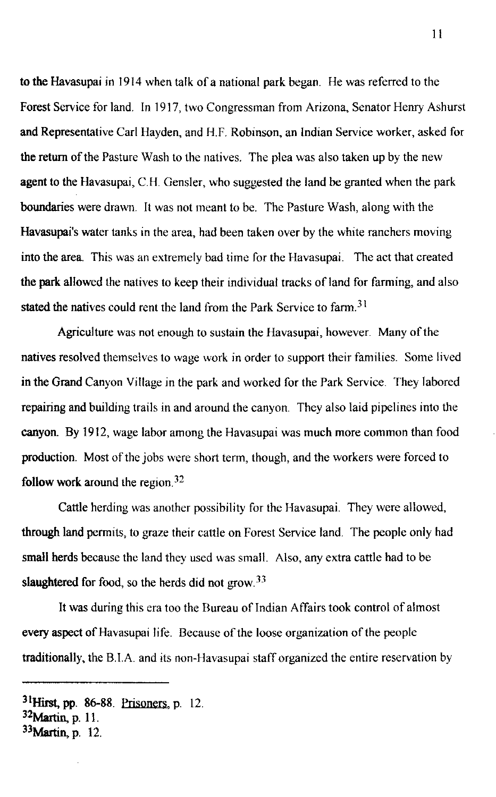to the Havasupai in 1914 when talk of a national park began. He was referred to the Forest Service for land. In 1917, two Congressman from Arizona, Senator Henry Ashurst and Representative Carl Hayden, and H.F. Robinson, an Indian Service worker, asked for the return of the Pasture Wash to the natives. The plea was also taken up by the new agent to the Havasupai, C.H. Gensler, who suggested the land be granted when the park boundaries were drawn. It was not meant to be. The Pasture Wash, along with the Havasupai's water tanks in the area, had been taken over by the white ranchers moving into the area. This was an extremely bad time for the Havasupai. The act that created the park allowed the natives to keep their individual tracks of land for farming, and also stated the natives could rent the land from the Park Service to farm.<sup>31</sup>

Agriculture was not enough to sustain the Havasupai, however. Many of the natives resolved themselves to wage work in order to support their families. Some lived in the Grand Canyon Village in the park and worked for the Park Service. They labored repairing and building trails in and around the canyon. They also laid pipelines into the canyon. By 1912, wage labor among the Havasupai was much more common than food production. Most of the jobs were short term, though, and the workers were forced to follow work around the region. <sup>32</sup>

Cattle herding was another possibility for the Havasupai. They were allowed, through land permits, to graze their cattle on Forest Service land. The people only had small herds because the land they used was small. Also, any extra cattle had to be slaughtered for food, so the herds did not  $\text{grow}^{33}$ 

It was during this era too the Bureau of Indian Affairs took control of almost every aspect of Havasupai life. Because of the loose organization of the people traditionally, the B.IA and its non-Havasupai staff organized the entire reservation by

 $31$ Hirst, pp. 86-88. Prisoners, p. 12.

 $32$ Martin, p. 11.

 $33$ Martin, p. 12.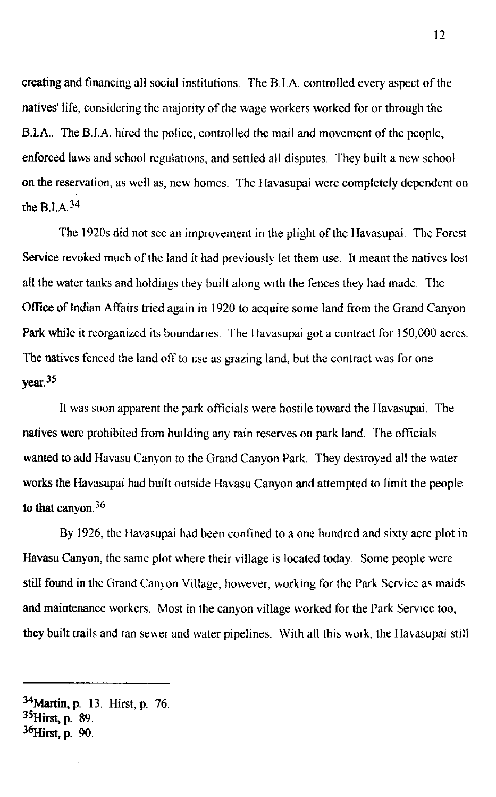creating and financing all social institutions. The B.I.A. controlled every aspect of the natives' life, considering the majority of the wage workers worked for or through the B.IA. The B.lA hired the police, controlled the mail and movement of the people, enforced laws and school regulations, and settled all disputes. They built a new school on the reservation, as well as, new homes. The Havasupai were completely dependent on the B.I.A  $34$ 

The 1920s did not see an improvement in the plight of the Havasupai. The Forest Service revoked much of the land it had previously let them use. It meant the natives lost all the water tanks and holdings they built along with the fences they had made. The Office of Indian Affairs tried again in 1920 to acquire some land from the Grand Canyon Park while it reorganized its boundanes. The Havasupai got a contract for 150,000 acres. The natives fenced the land off to use as grazing land, but the contract was for one  $year<sup>35</sup>$ 

It was soon apparent the park officials were hostile toward the Havasupai. The natives were prohibited from building any rain reserves on park land. The officials wanted to add Havasu Canyon to the Grand Canyon Park. They destroyed all the water works the Havasupai had built outside Havasu Canyon and attempted to limit the people to that canyon.  $36$ 

By 1926, the Havasupai had been confined to a one hundred and sixty acre plot in Havasu Canyon, the same plot where their village is located today. Some people were still found in the Grand Canyon Village, however, working for the Park Service as maids and maintenance workers. Most in the canyon village worked for the Park Service too, they built trails and ran sewer and water pipelines. With all this work, the Havasupai still

<sup>34</sup>Martin, p. 13. Hirst, p. 76. <sup>35</sup>Hirst, p. 89. <sup>36</sup>Hirst, p. 90.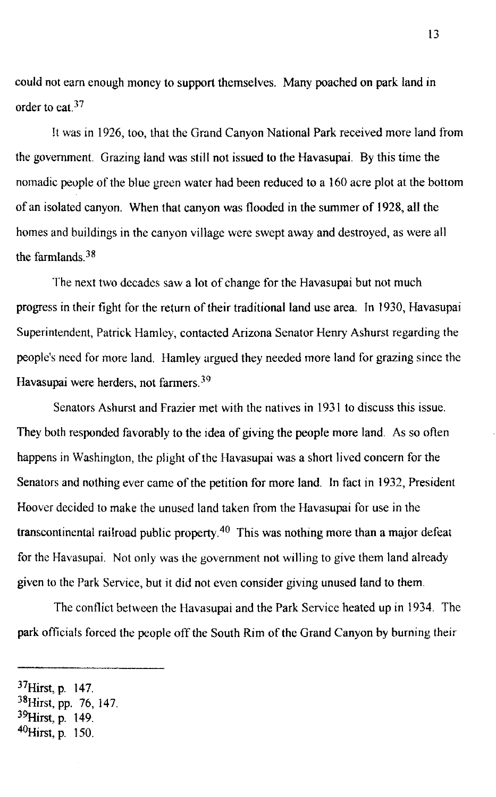could not earn enough money to support themselves. Many poached on park land in order to eat.<sup>37</sup>

It was in 1926, too, that the Grand Canyon National Park received more land from the government. Grazing land was still not issued to the Havasupai. By this time the nomadic people of the blue green water had been reduced to a 160 acre plot at the bottom of an isolated canyon. When that canyon was flooded in the summer of 1928, all the homes and buildings in the canyon village were swept away and destroyed, as were all the farmlands  $38$ 

The next two decades saw a lot of change for the Havasupai but not much progress in their fight for the return of their traditional land use area. In 1930, Havasupai Superintendent, Patrick Hamley, contacted Arizona Senator Henry Ashurst regarding the people's need for more land. Hamley argued they needed more land for grazing since the Havasupai were herders, not farmers.<sup>39</sup>

Senators Ashurst and Frazier met with the natives in 1931 to discuss this issue. They both responded favorably to the idea of giving the people more land. As so often happens in Washington, the plight of the Havasupai was a short lived concern for the Senators and nothing ever came of the petition for more land. In fact in 1932, President Hoover decided to make the unused land taken from the Havasupai for use in the transcontinental railroad public property.<sup>40</sup> This was nothing more than a major defeat for the Havasupai. Not only was the government not willing to give them land already given to the Park Service, but it did not even consider giving unused land to them.

The conflict between the Havasupai and the Park Service heated up in 1934. The park officials forced the people off the South Rim of the Grand Canyon by burning their

<sup>37</sup>Hirst, p. 147.

<sup>38</sup>Hirst, pp. 76, 147.

<sup>&</sup>lt;sup>39</sup>Hirst, p. 149.

 $^{40}$ Hirst, p. 150.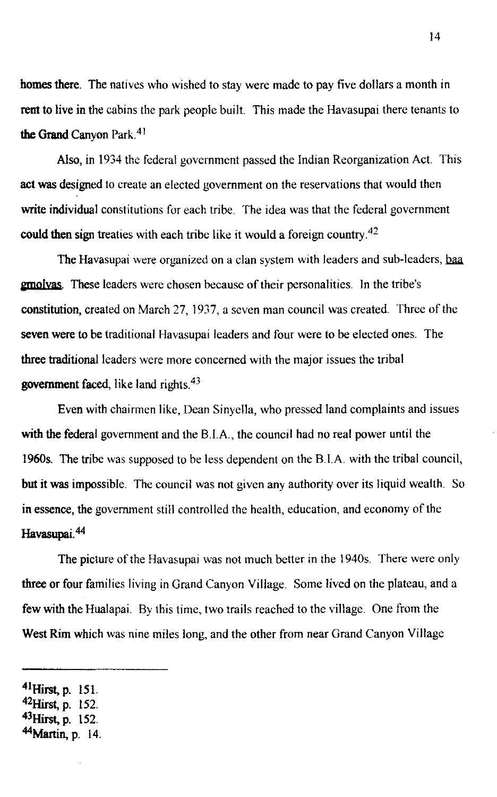homes there. The natives who wished to stay were made to pay five dollars a month in rent to live in the cabins the park people built. This made the Havasupai there tenants to the Grand Canyon Park.<sup>41</sup>

Also, in 1934 the federal government passed the Indian Reorganization Act. This act was designed to create an elected government on the reservations that would then write individual constitutions for each tribe. The idea was that the federal government could then sign treaties with each tribe like it would a foreign country.<sup>42</sup>

The Havasupai were organized on a clan system with leaders and sub-leaders, baa **gmolyas**. These leaders were chosen because of their personalities. In the tribe's constitution, created on March 27, 1937, a seven man council was created. Three of the seven were to be traditional Havasupai leaders and four were to be elected ones. The three traditional leaders were more concerned with the major issues the tribal government faced, like land rights.<sup>43</sup>

Even with chairmen like, Dean Sinyella, who pressed land complaints and issues with the federal government and the B.I.A., the council had no real power until the 19605. The tribe was supposed to be less dependent on the B. I.A. with the tribal council, but it was impossible. The council was not given any authority over its liquid wealth. So in essence, the government still controlled the health, education, and economy of the Havasupai.<sup>44</sup>

The picture of the Havasupai was not much better in the 1940s. There were only three or four families living in Grand Canyon Village. Some lived on the plateau, and a few with the Hualapai. By this time, two trails reached to the village. One from the West Rim which was nine miles long, and the other from near Grand Canyon Village

- $42$ Hirst, p. 152.
- 43Hirst, p. 152.
- $44$ Martin, p. 14.

 $^{41}$ Hirst, p. 151.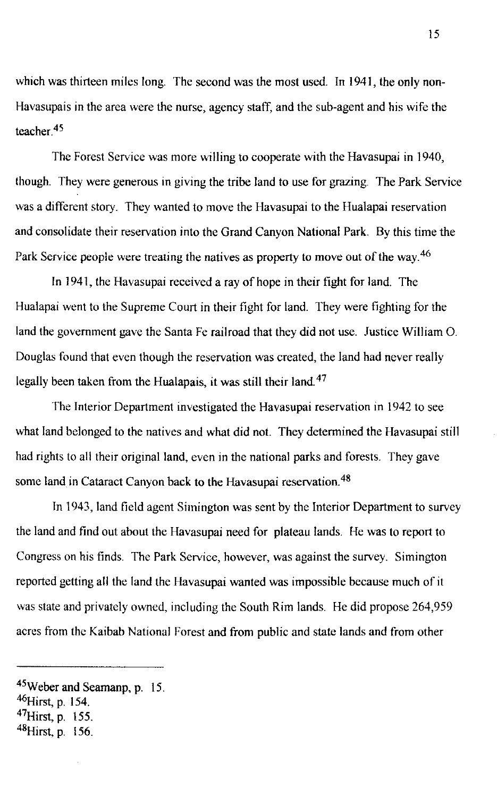which was thirteen miles long. The second was the most used. In 1941, the only non-Havasupais in the area were the nurse, agency staff, and the sub-agent and his wife the teacher $45$ 

The Forest Service was more willing to cooperate with the Havasupai in 1940, though. They were generous in giving the tribe land to use for grazing. The Park Service was a different story. They wanted to move the Havasupai to the Hualapai reservation and consolidate their reservation into the Grand Canyon National Park. By this time the Park Service people were treating the natives as property to move out of the way.<sup>46</sup>

In 1941, the Havasupai received a ray of hope in their fight for land. The Hualapai went to the Supreme Court in their fight for land. They were fighting for the land the government gave the Santa Fe railroad that they did not use. Justice William O. Douglas found that even though the reservation was created, the land had never really legally been taken from the Hualapais, it was still their land.<sup>47</sup>

The Interior Department investigated the Havasupai reservation in 1942 to see what land belonged to the natives and what did not. They determined the Havasupai still had rights to all their original land, even in the national parks and forests. They gave some land in Cataract Canyon back to the Havasupai reservation.<sup>48</sup>

In 1943, land field agent Simington was sent by the Interior Department to survey the land and find out about the Havasupai need for plateau lands. He was to report to Congress on his finds. The Park Service, however, was against the survey. Simington reported getting all the land the Havasupai wanted was impossible because much of it was state and privately owned, including the South Rim lands. He did propose 264,959 acres from the Kaibab National Forest and from public and state lands and from other

<sup>45</sup>Weber and Seamanp, p. 15.

 $^{46}$ Hirst, p. 154.

 $47$ Hirst, p. 155.

 $48$ Hirst, p. 156.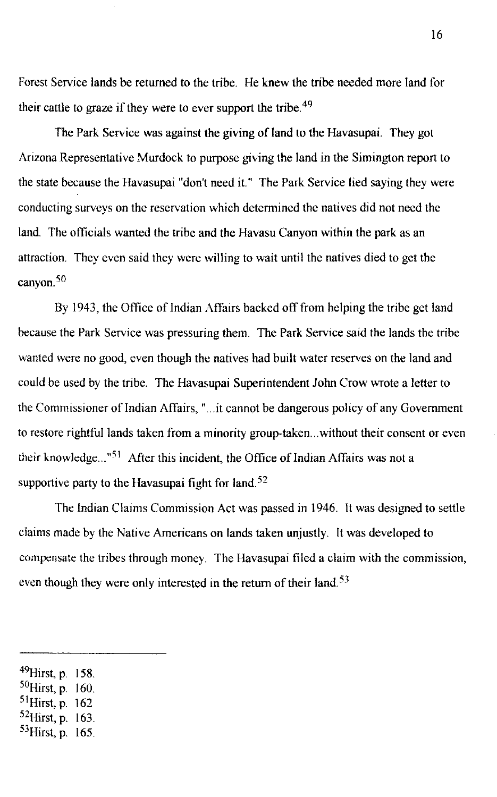Forest Service lands be returned to the tribe. He knew the tribe needed more land for their cattle to graze if they were to ever support the tribe. <sup>49</sup>

The Park Service was against the giving of land to the Havasupai. They got Arizona Representative Murdock to purpose giving the land in the Simington report to the state because the Havasupai "don't need it." The Park Service lied saying they were conducting surveys on the reservation which determined the natives did not need the land. The officials wanted the tribe and the Havasu Canyon within the park as an attraction. They even said they were willing to wait until the natives died to get the canyon. $50$ 

By 1943, the Office of Indian Affairs backed off from helping the tribe get land because the Park Service was pressuring them. The Park Service said the lands the tribe wanted were no good, even though the natives had built water reserves on the land and could be used by the tribe. The Havasupai Superintendent John Crow wrote a letter to the Commissioner of Indian Affairs, "... it cannot be dangerous policy of any Government to restore rightful lands taken from a minority group-taken ... without their consent or even their knowledge..."<sup>51</sup> After this incident, the Office of Indian Affairs was not a supportive party to the Havasupai fight for land.<sup>52</sup>

The Indian Claims Commission Act was passed in 1946. It was designed to settle claims made by the Native Americans on lands taken unjustly. It was developed to compensate the tribes through money. The Havasupai filed a claim with the commission, even though they were only interested in the return of their land. $53$ 

- <sup>50</sup>Hirst, p. 160.
- <sup>51</sup>Hirst, p. 162
- <sup>52</sup>Hirst, p. 163.
- <sup>53</sup>Hirst, p. 165.

 $^{49}$ Hirst, p. 158.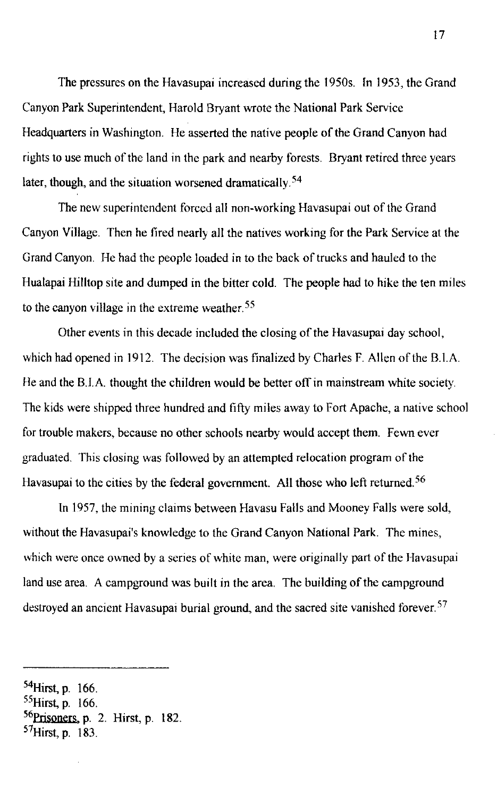The pressures on the Havasupai increased during the 1950s. In 1953, the Grand Canyon Park Superintendent, Harold Bryant wrote the National Park Service Headquarters in Washington. He asserted the native people of the Grand Canyon had rights to use much of the land in the park and nearby forests. Bryant retired three years later, though, and the situation worsened dramatically.<sup>54</sup>

The new superintendent forced all non-working Havasupai out of the Grand Canyon Village. Then he fired nearly all the natives working for the Park Service at the Grand Canyon. He had the people loaded in to the back of trucks and hauled to the Hualapai Hilltop site and dumped in the bitter cold. The people had to hike the ten miles to the canyon village in the extreme weather. 55

Other events in this decade included the closing of the Havasupai day school, which had opened in 1912. The decision was finalized by Charles F. Allen of the B.I.A. He and the B.I.A. thought the children would be better off in mainstream white society. The kids were shipped three hundred and fifty miles away to Fort Apache, a native school for trouble makers, because no other schools nearby would accept them. Fewn ever graduated. This closing was followed by an attempted relocation program of the Havasupai to the cities by the federal government. All those who left returned.<sup>56</sup>

In 1957, the mining claims between Havasu Falls and Mooney Falls were sold, without the Havasupai's knowledge to the Grand Canyon National Park. The mines, which were once owned by a series of white man, were originally part of the Havasupai land use area. A campground was built in the area. The building of the campground destroyed an ancient Havasupai burial ground, and the sacred site vanished forever.<sup>57</sup>

- $55$ Hirst, p. 166.
- $^{56}$ Prisoners, p. 2. Hirst, p. 182.
- <sup>57</sup>Hirst, p. 183.

<sup>54</sup>Hirst, p. 166.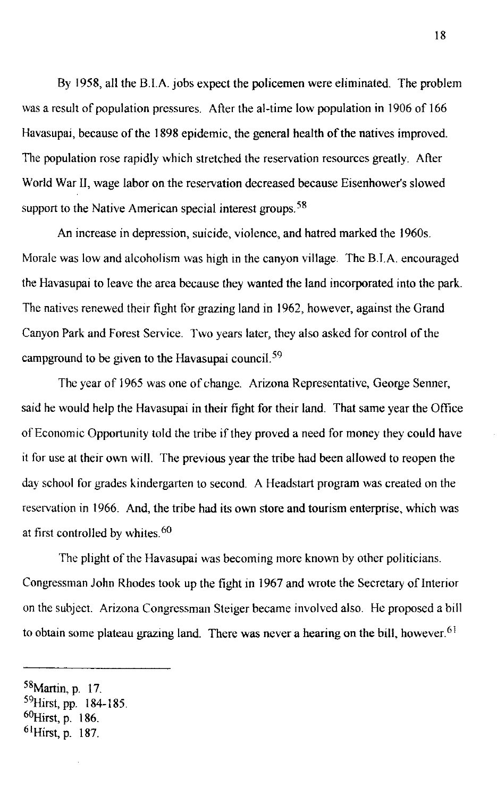By 1958, all the B.IA jobs expect the policemen were eliminated. The problem was a result of population pressures. After the aI-time low population in 1906 of 166 Havasupai, because of the 1898 epidemic, the general health of the natives improved. The population rose rapidly which stretched the reservation resources greatly. After World War II, wage labor on the reservation decreased because Eisenhower's slowed support to the Native American special interest groups.<sup>58</sup>

An increase in depression, suicide, violence, and hatred marked the 1960s. Morale was low and alcoholism was high in the canyon village. The B.l.A. encouraged the Havasupai to leave the area because they wanted the land incorporated into the park. The natives renewed their fight for grazing land in 1962, however, against the Grand Canyon Park and Forest Service. Two years later, they also asked for control of the campground to be given to the Havasupai council.  $59$ 

The year of 1965 was one of change. Arizona Representative, George Senner, said he would help the Havasupai in their fight for their land. That same year the Office of Economic Opportunity told the tribe if they proved a need for money they could have it for use at their own will. The previous year the tribe had been allowed to reopen the day school for grades kindergarten to second. A Headstart program was created on the reservation in 1966. And, the tribe had its own store and tourism enterprise, which was at first controlled by whites.<sup>60</sup>

The plight of the Havasupai was becoming more known by other politicians. Congressman John Rhodes took up the fight in 1967 and wrote the Secretary of Interior on the subject. Arizona Congressman Steiger became involved also. He proposed a bill to obtain some plateau grazing land. There was never a hearing on the bill, however.<sup>61</sup>

 $58$ Martin, p. 17.

<sup>59</sup>Hirst, pp. 184-185. <sup>60</sup>Hirst, p. 186.

 $^{61}$ Hirst, p. 187.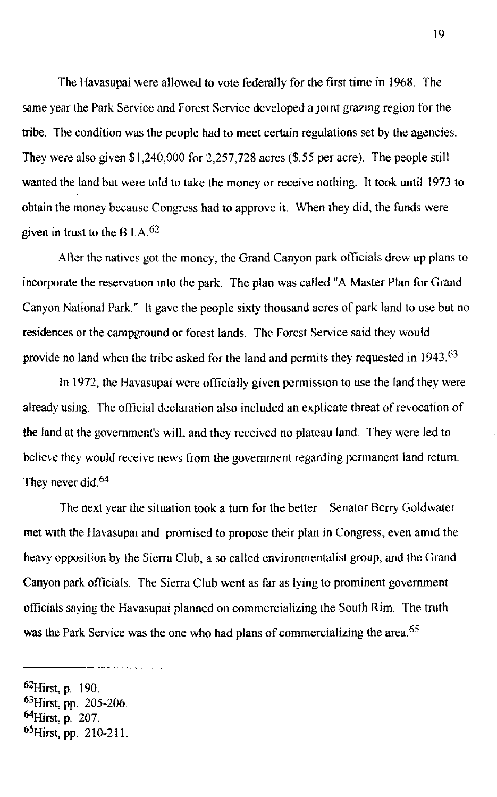The Havasupai were allowed to vote federally for the first time in 1968. The same year the Park Service and Forest Service developed a joint grazing region for the tribe. The condition was the people had to meet certain regulations set by the agencies. They were also given \$1,240,000 for 2,257,728 acres (\$.55 per acre). The people still wanted the land but were told to take the money or receive nothing. It took until 1973 to obtain the money because Congress had to approve it. When they did, the funds were given in trust to the B.I.A. $62$ 

After the natives got the money, the Grand Canyon park officials drew up plans to incorporate the reservation into the park. The plan was called "A Master Plan for Grand Canyon National Park." It gave the people sixty thousand acres of park land to use but no residences or the campground or forest lands. The Forest Service said they would provide no land when the tribe asked for the land and permits they requested in 1943.<sup>63</sup>

In 1972, the Havasupai were officially given permission to use the land they were already using. The official declaration also included an explicate threat of revocation of the land at the government's will, and they received no plateau land. They were led to believe they would receive news from the government regarding permanent land return. They never did.<sup>64</sup>

The next year the situation took a tum for the better. Senator Berry Goldwater met with the Havasupai and promised to propose their plan in Congress, even amid the heavy opposition by the Sierra Club, a so called environmentalist group, and the Grand Canyon park officials. The Sierra Club went as far as lying to prominent government officials saying the Havasupai planned on commercializing the South Rim. The truth was the Park Service was the one who had plans of commercializing the area.<sup>65</sup>

<sup>62</sup>Hirst, p. 190. <sup>63</sup>Hirst, pp. 205-206. <sup>64</sup>Hirst, p. 207. <sup>65</sup>Hirst, pp. 210-211.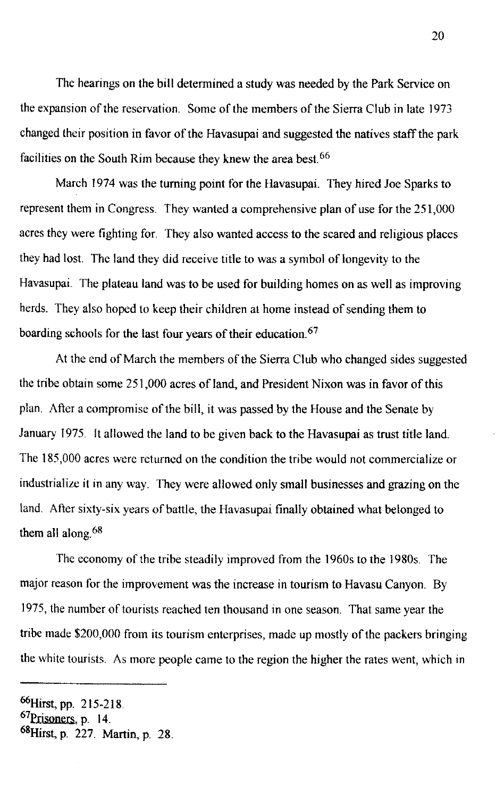The hearings on the bill determined a study was needed by the Park Service on the expansion of the reservation. Some of the members of the Sierra Club in late 1973 changed their position in favor of the Havasupai and suggested the natives staff the park facilities on the South Rim because they knew the area best.<sup>66</sup>

March 1974 was the turning point for the Havasupai. They hired Joe Sparks to represent them in Congress. They wanted a comprehensive plan of use for the 251,000 acres they were fighting for. They also wanted access to the scared and religious places they had lost. The land they did receive title to was a symbol of longevity to the Havasupai. The plateau land was to be used for building homes on as well as improving herds. They also hoped to keep their children at home instead of sending them to boarding schools for the last four years of their education. 67

At the end of March the members of the Sierra Club who changed sides suggested the tribe obtain some 251,000 acres of land, and President Nixon was in favor of this plan. After a compromise of the bill, it was passed by the House and the Senate by January 1975. It allowed the land to be given back to the Havasupai as trust title land. The 185,000 acres were returned on the condition the tribe would not commercialize or industrialize it in any way. They were allowed only small businesses and grazing on the land. After sixty-six years of battle, the Havasupai finally obtained what belonged to them all along  $68$ 

The economy of the tribe steadily improved from the 1960s to the 19805. The major reason for the improvement was the increase in tourism to Havasu Canyon. By 1975, the number of tourists reached ten thousand in one season. That same year the tribe made \$200,000 from its tourism enterprises, made up mostly of the packers bringing the white tourists. As more people came to the region the higher the rates went, which in

<sup>66</sup>Hirst, pp. 215-218.

<sup>67</sup>Prisoners, p. 14.

<sup>68</sup>Hirst, p. 227. Martin, p. 28.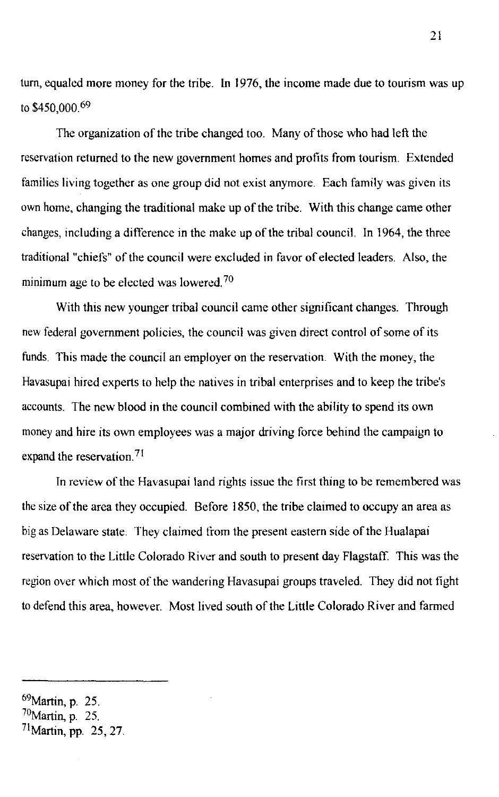turn, equaled more money for the tribe. In 1976, the income made due to tourism was up to \$450,000.69

The organization of the tribe changed too. Many of those who had left the reservation returned to the new government homes and profits from tourism. Extended families living together as one group did not exist anymore. Each family was given its own home, changing the traditional make up of the tribe. With this change came other changes, including a difference in the make up of the tribal council. In 1964, the three traditional "chiefs" of the council were excluded in favor of elected leaders. Also, the minimum age to be elected was lowered.<sup>70</sup>

With this new younger tribal council came other significant changes. Through new federal government policies, the council was given direct control of some of its funds. This made the council an employer on the reservation. With the money, the Havasupai hired experts to help the natives in tribal enterprises and to keep the tribe's accounts. The new blood in the council combined with the ability to spend its own money and hire its own employees was a major driving force behind the campaign to expand the reservation.<sup>71</sup>

In review of the Havasupai land rights issue the first thing to be remembered was the size of the area they occupied. Before 1850, the tribe claimed to occupy an area as big as Delaware state. They claimed trom the present eastern side of the Hualapai reservation to the Little Colorado River and south to present day Flagstaff. This was the region over which most of the wandering Havasupai groups traveled. They did not fight to defend this area, however. Most lived south of the Little Colorado River and farmed

 $69$ Martin, p. 25.  $70$ Martin, p. 25.  $^{71}$ Martin, pp. 25, 27. 21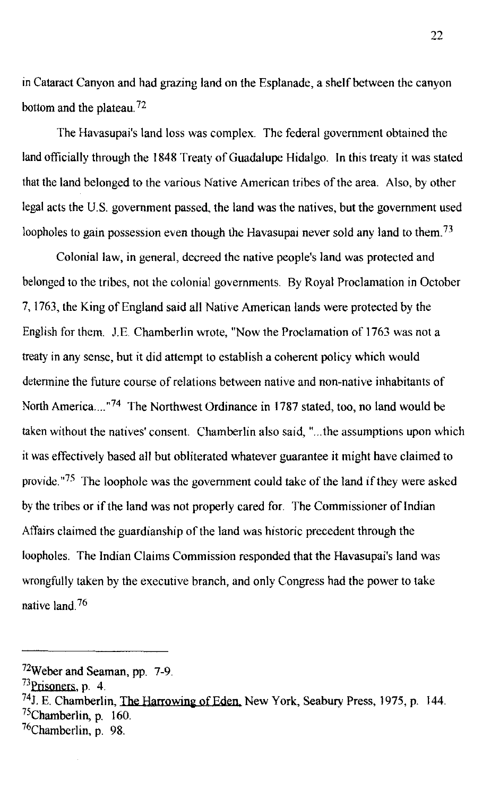in Cataract Canyon and had grazing land on the Esplanade, a shelf between the canyon bottom and the plateau.<sup>72</sup>

The Havasupai's land loss was complex. The federal government obtained the land officially through the 1848 Treaty of Guadalupe Hidalgo. In this treaty it was stated that the land belonged to the various Native American tribes of the area. Also, by other legal acts the U.S. government passed, the land was the natives, but the government used loopholes to gain possession even though the Havasupai never sold any land to them.<sup>73</sup>

Colonial law, in general, decreed the native people's land was protected and belonged to the tribes, not the colonial governments. By Royal Proclamation in October 7, 1763, the King of England said all Native American lands were protected by the English for them. JE. Chamberlin wrote, "Now the Proclamation of 1763 was not a treaty in any sense, but it did attempt to establish a coherent policy which would detennine the future course of relations between native and non-native inhabitants of North America....<sup>"74</sup> The Northwest Ordinance in 1787 stated, too, no land would be taken without the natives' consent. Chamberlin also said, " ... the assumptions upon which it was effectively based all but obliterated whatever guarantee it might have claimed to provide. $175$  The loophole was the government could take of the land if they were asked by the tribes or if the land was not properly cared for. The Commissioner of Indian Affairs claimed the guardianship of the land was historic precedent through the loopholes. The Indian Claims Commission responded that the Havasupai's land was wrongfully taken by the executive branch, and only Congress had the power to take native land  $^{76}$ 

<sup>72</sup>Weber and Seaman, pp. 7-9.

 $73$ Prisoners, p. 4.

<sup>&</sup>lt;sup>74</sup>J. E. Chamberlin, The Harrowing of Eden, New York, Seabury Press, 1975, p. 144.  $75$ Chamberlin, p. 160.

<sup>76</sup>Chamberlin, p. 98.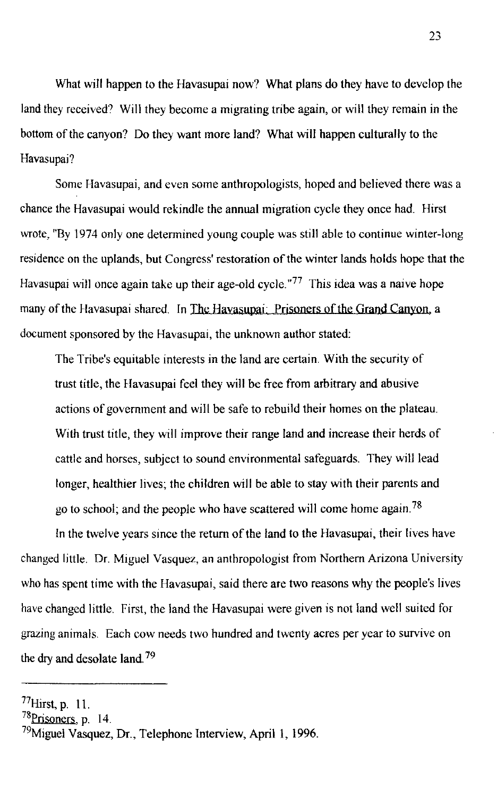What will happen to the Havasupai now? What plans do they have to develop the land they received? Will they become a migrating tribe again, or will they remain in the bottom of the canyon? Do they want more land? What will happen culturally to the Havasupai?

Some Havasupai, and even some anthropologists, hoped and believed there was a chance the Havasupai would rekindle the annual migration cycle they once had. Hirst wrote, "By 1974 only one determined young couple was still able to continue winter-long residence on the uplands, but Congress' restoration of the winter lands holds hope that the Havasupai will once again take up their age-old cycle."<sup>77</sup> This idea was a naive hope many of the Havasupai shared. In The Havasupai: Prisoners of the Grand Canyon, a document sponsored by the Havasupai, the unknown author stated:

The Tribe's equitable interests in the land are certain. With the security of trust title, the Havasupai feel they will be free from arbitrary and abusive actions of government and will be safe to rebuild their homes on the plateau. With trust title, they will improve their range land and increase their herds of cattle and horses, subject to sound environmental safeguards. They will lead longer, healthier lives; the children will be able to stay with their parents and go to school; and the people who have scattered will come home again. 78

In the twelve years since the return of the land to the Havasupai, their lives have changed little. Dr. Miguel Vasquez, an anthropologist from Northern Arizona University who has spent time with the Havasupai, said there are two reasons why the people's lives have changed little. First, the land the Havasupai were given is not land well suited for grazing animals. Each cow needs two hundred and twenty acres per year to survive on the dry and desolate land. 79

 $77$ Hirst, p. 11.

<sup>&</sup>lt;sup>78</sup>Prisoners, p. 14.

 $^{79}$ Miguel Vasquez, Dr., Telephone Interview, April 1, 1996.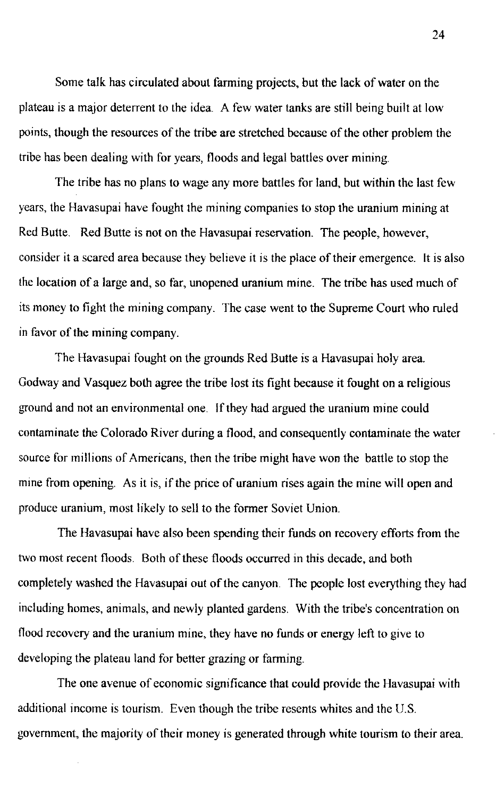Some talk has circulated about farming projects, but the lack of water on the plateau is a major deterrent to the idea. A few water tanks are still being built at low points, though the resources of the tribe are stretched because of the other problem the tribe has been dealing with for years, floods and legal battles over mining.

The tribe has no plans to wage any more battles for land, but within the last few years, the Havasupai have fought the mining companies to stop the uranium mining at Red Butte. Red Butte is not on the Havasupai reservation. The people, however, consider it a scared area because they believe it is the place of their emergence. It is also the location of a large and, so far, unopened uranium mine. The tribe has used much of its money to fight the mining company. The case went to the Supreme Court who ruled in favor of the mining company.

The Havasupai fought on the grounds Red Butte is a Havasupai holy area. Godway and Vasquez both agree the tribe lost its fight because it fought on a religious ground and not an environmental one. If they had argued the uranium mine could contaminate the Colorado River during a flood, and consequently contaminate the water source for millions of Americans, then the tribe might have won the battle to stop the mine from opening. As it is, if the price of uranium rises again the mine will open and produce uranium, most likely to sell to the former Soviet Union.

The Havasupai have also been spending their funds on recovery efforts from the two most recent floods. Both of these floods occurred in this decade, and both completely washed the Havasupai out of the canyon. The people lost everything they had including homes, animals, and newly planted gardens. With the tribe's concentration on flood recovery and the uranium mine, they have no funds or energy left to give to developing the plateau land for better grazing or farming.

The one avenue of economic significance that could provide the Havasupai with additional income is tourism. Even though the tribe resents whites and the U.S. government, the majority of their money is generated through white tourism to their area.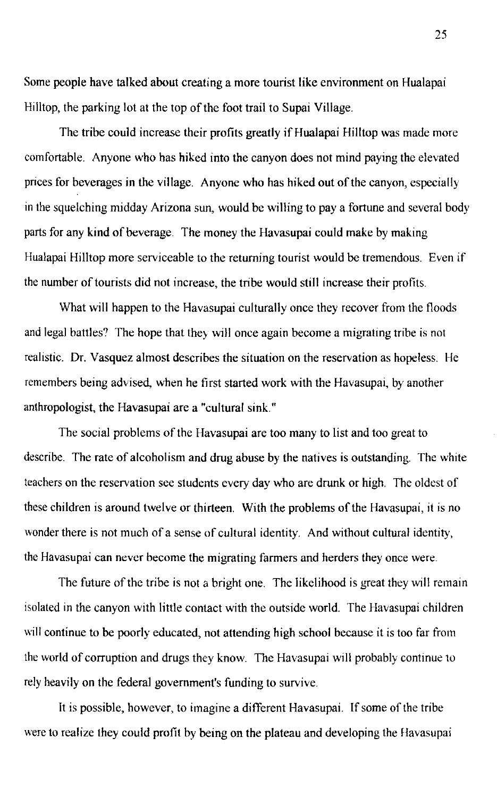Some people have talked about creating a more tourist like environment on Hualapai Hilltop, the parking lot at the top of the foot trail to Supai Village.

The tribe could increase their profits greatly if Hualapai Hilltop was made more comfortable. Anyone who has hiked into the canyon does not mind paying the elevated prices for beverages in the village. Anyone who has hiked out of the canyon, especially in the squelching midday Arizona sun, would be willing to pay a fortune and several body parts for any kind of beverage. The money the Havasupai could make by making Hualapai Hilltop more serviceable to the returning tourist would be tremendous. Even if the number of tourists did not increase, the tribe would still increase their profits.

What will happen to the Havasupai culturally once they recover from the floods and legal battles? The hope that they will once again become a migrating tribe is not realistic. Dr. Vasquez almost describes the situation on the reservation as hopeless. He remembers being advised, when he first started work with the Havasupai, by another anthropologist, the Havasupai are a "cultural sink."

The social problems of the Havasupai are too many to list and too great to describe. The rate of alcoholism and drug abuse by the natives is outstanding. The white teachers on the reservation see students every day who are drunk or high. The oldest of these children is around twelve or thirteen. With the problems of the Havasupai, it is no wonder there is not much of a sense of cultural identity. And without cultural identity, the Havasupai can never become the migrating farmers and herders they once were.

The future of the tribe is not a bright one. The likelihood is great they will remain isolated in the canyon with little contact with the outside world. The Havasupai children will continue to be poorly educated, not attending high school because it is too far from the world of corruption and drugs they know. The Havasupai will probably continue to rely heavily on the federal government's funding to survive.

It is possible, however, to imagine a different Havasupai. If some of the tribe were to realize they could profit by being on the plateau and developing the flavasupai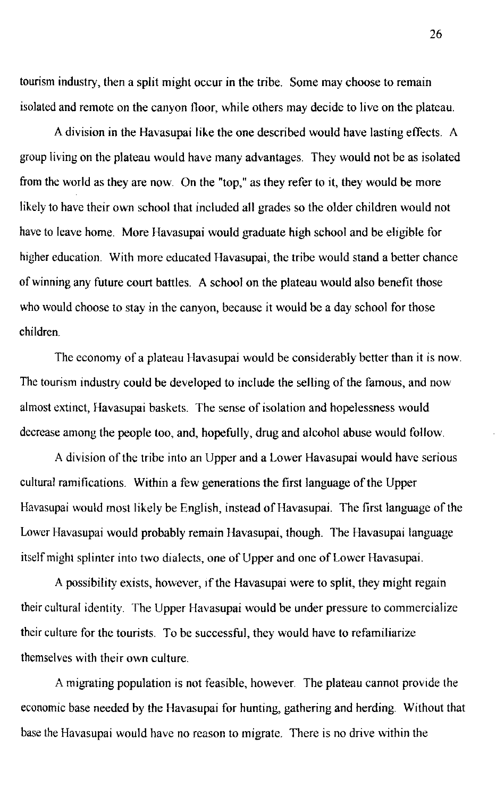tourism industry, then a split might occur in the tribe. Some may choose to remain isolated and remote on the canyon floor, while others may decide to live on the plateau.

A division in the Havasupai like the one described would have lasting effects. A group living on the plateau would have many advantages. They would not be as isolated from the world as they are now. On the "top," as they refer to it, they would be more likely to have their own school that included all grades so the older children would not have to leave home. More Havasupai would graduate high school and be eligible for higher education. With more educated Havasupai, the tribe would stand a better chance of winning any future court battles. A school on the plateau would also benefit those who would choose to stay in the canyon, because it would be a day school for those children.

The economy of a plateau Havasupai would be considerably better than it is now. The tourism industry could be developed to include the selling of the famous, and now almost extinct, Havasupai baskets. The sense of isolation and hopelessness would decrease among the people too, and, hopefully, drug and alcohol abuse would follow.

A division of the tribe into an Upper and a Lower Havasupai would have serious cultural ramifications. Within a few generations the first language of the Upper Havasupai would most likely be English, instead of Havasupai. The first language of the Lower Havasupai would probably remain Havasupai, though. The Havasupai language itself might splinter into two dialects, one of Upper and one of Lower Havasupai.

A possibility exists, however, if the Havasupai were to split, they might regain their cultural identity. The Upper Havasupai would be under pressure to commercialize their culture for the tourists. To be successful, they would have to refamiliarize themselves with their own culture.

A migrating population is not feasible, however. The plateau cannot provide the economic base needed by the Havasupai for hunting, gathering and herding. Without that base the Havasupai would have no reason to migrate. There is no drive within the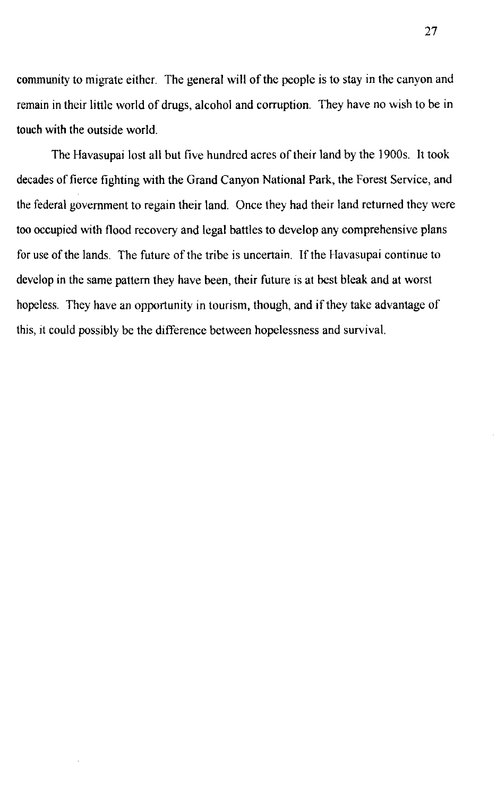community to migrate either. The general will of the people is to stay in the canyon and remain in their little world of drugs, alcohol and corruption. They have no wish to be in touch with the outside world.

The Havasupai lost all but five hundred acres of their land by the 1900s. It took decades of fierce fighting with the Grand Canyon National Park, the Forest Service, and the federal government to regain their land. Once they had their land returned they were too occupied with flood recovery and legal battles to develop any comprehensive plans for use of the lands. The future of the tribe is uncertain. If the Havasupai continue to develop in the same pattern they have been, their future is at best bleak and at worst hopeless. They have an opportunity in tourism, though, and if they take advantage of this, it could possibly be the difference between hopelessness and survival.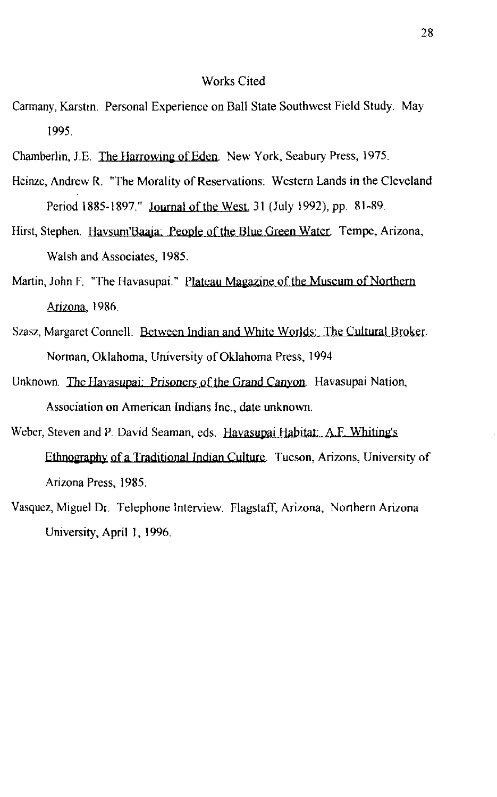## Works Cited

- Cannany, Karstin. Personal Experience on Ball State Southwest Field Study. May 1995.
- Chamberlin, J.E. The Harrowing of Eden. New York, Seabury Press, 1975.
- Heinze, Andrew R. "The Morality of Reservations: Western Lands in the Cleveland Period 1885-1897." Journal of the West, 31 (July 1992), pp. 81-89.
- Hirst, Stephen. Havsum'Baaja: People of the Blue Green Water. Tempe, Arizona, Walsh and Associates, 1985.
- Martin, John F. "The Havasupai." Plateau Magazine of the Museum of Northern Arizona, 1986.
- Szasz, Margaret Connell. Between Indian and White Worlds: The Cultural Broker. Norman, Oklahoma, University of Oklahoma Press, 1994.
- Unknown. The Havasupai: Prisoners of the Grand Canyon. Havasupai Nation, Association on American Indians Inc., date unknown.
- Weber, Steven and P. David Seaman, eds. Havasupai Habitat: A.F. Whiting's Ethnography of a Traditional Indian Culture Tucson, Arizons, University of Arizona Press, 1985.
- Vasquez, Miguel Dr. Telephone Interview. Flagstaff, Arizona, Northern Arizona University, April 1, 1996.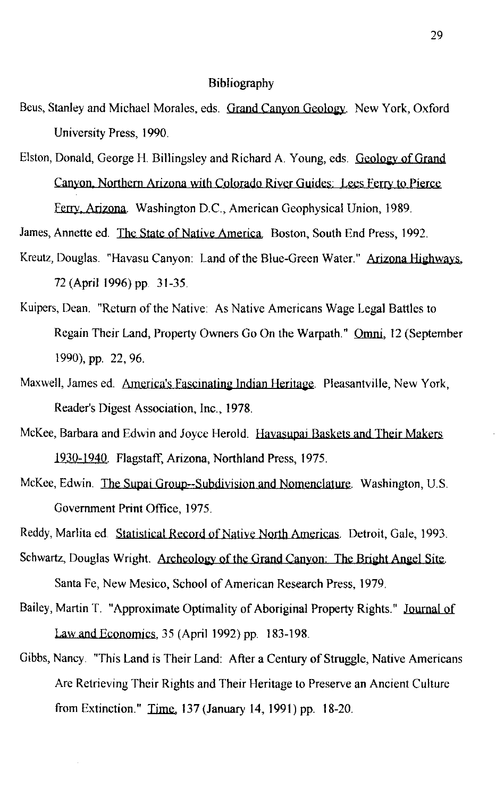## Bibliography

- Beus, Stanley and Michael Morales, eds. Grand Canyon Geology. New York, Oxford University Press, 1990.
- Elston, Donald, George H. Billingsley and Richard A. Young, eds. Geology of Grand Canyon, Northern Arizona with Colorado River Guides: Lees Ferry to Pierce Ferry Arizona. Washington D.C., American Geophysical Union, 1989.

James, Annette ed. The State of Native America. Boston, South End Press, 1992.

- Kreutz, Douglas. "Havasu Canyon: Land of the Blue-Green Water." Arizona Highways, 72 (April 1996) pp. 31-35.
- Kuipers, Dean. "Return of the Native: As Native Americans Wage Legal Battles to Regain Their Land, Property Owners Go On the Warpath." Omni, 12 (September 1990), pp. 22, 96.
- Maxwell, James ed. America's Fascinating Indian Heritage. Pleasantville, New York, Reader's Digest Association, Inc., 1978.
- McKee, Barbara and Edwin and Joyce Herold. Havasupai Baskets and Their Makers 1930-1940. Flagstaff, Arizona, Northland Press, 1975.
- McKee, Edwin. The Supai Group--Subdivision and Nomenclature. Washington, U.S. Government Print Office, 1975.

Reddy, Marlita ed. Statistical Record of Native North Americas. Detroit, Gale, 1993.

- Schwartz, Douglas Wright. Archeology of the Grand Canyon: The Bright Angel Site. Santa Fe, New Mesico, School of American Research Press, 1979.
- Bailey, Martin T. "Approximate Optimality of Aboriginal Property Rights." Journal of Law and Economics, 35 (April 1992) pp. 183-198.
- Gibbs, Nancy. "This Land is Their Land: After a Century of Struggle, Native Americans Are Retrieving Their Rights and Their Heritage to Preserve an Ancient Culture from Extinction." Time, 137 (January 14, 1991) pp. 18-20.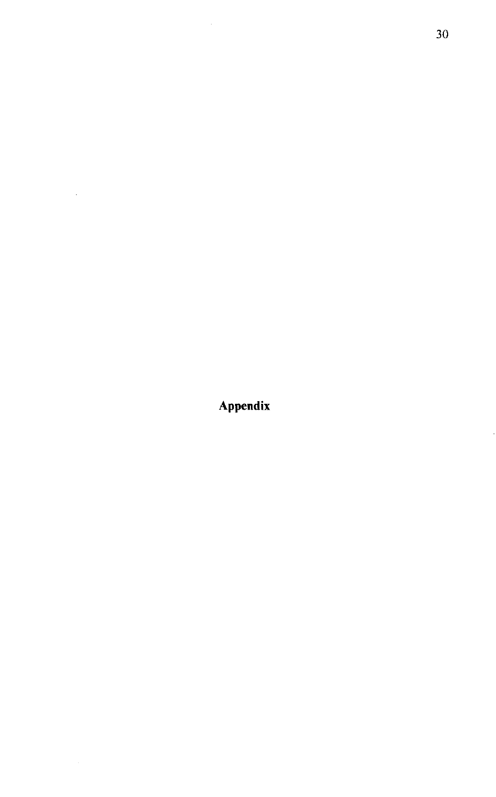**Appendix** 

 $\mathcal{L}^{\text{max}}_{\text{max}}$ 

ļ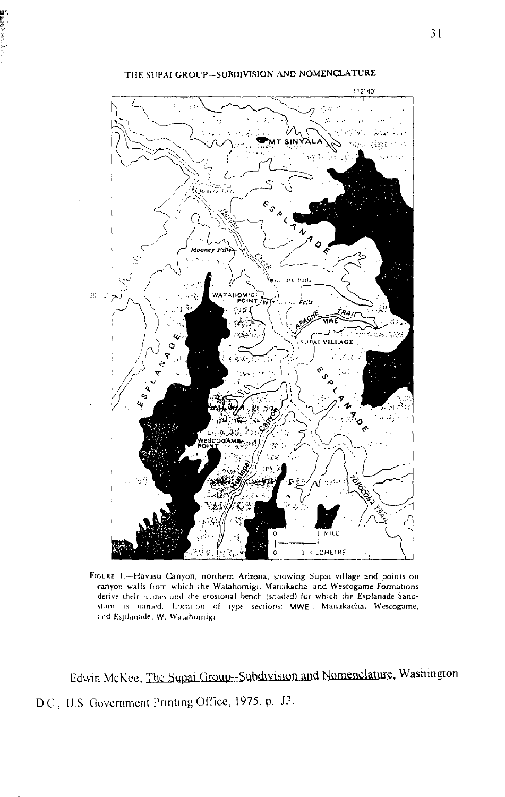

THE SUPAI GROUP-SUBDIVISION AND NOMENCLATURE

FIGURE 1.-Havasu Canyon, northern Arizona, showing Supai village and points on canyon walls from which the Watahomigi. Manakacha, and Wescogame Formations derive their names and the erosional bench (shaded) for which the Esplanade Sand- $S$ (Slone is named. Location of type sections: MWE, Manakacha, Wescogame, **and Esplanade; W, Watahornigi** 

Edwin McKee, The Supai Group--Subdivision and Nomenclature, Washington D.C., U.S. Government Printing Office, 1975, p. J3.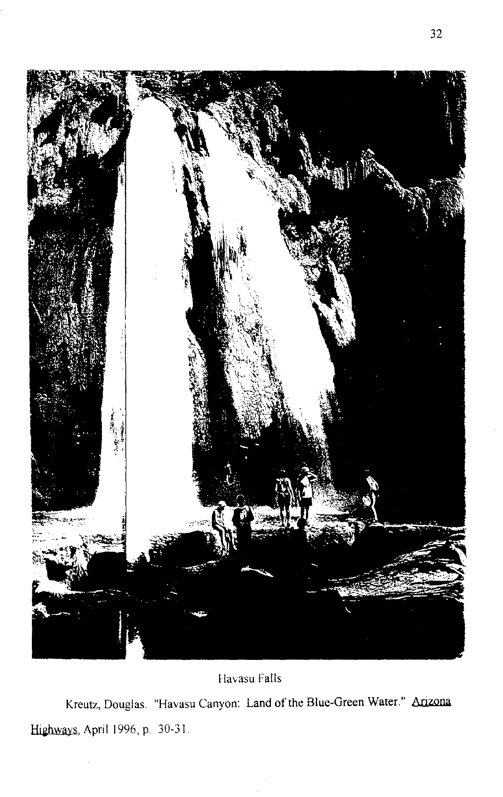

## Havasu Falls

Kreutz, Douglas. "Havasu Canyon: Land of the Blue-Green Water." Arizona Highways, April 1996, p. 30-31.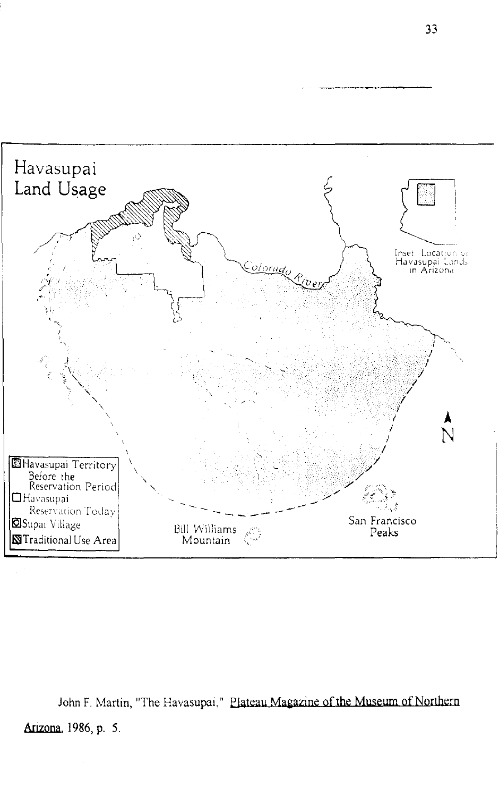

John F. Martin, "The Havasupai," Plateau Magazine of the Museum of Northern Arizona, 1986, p. 5.